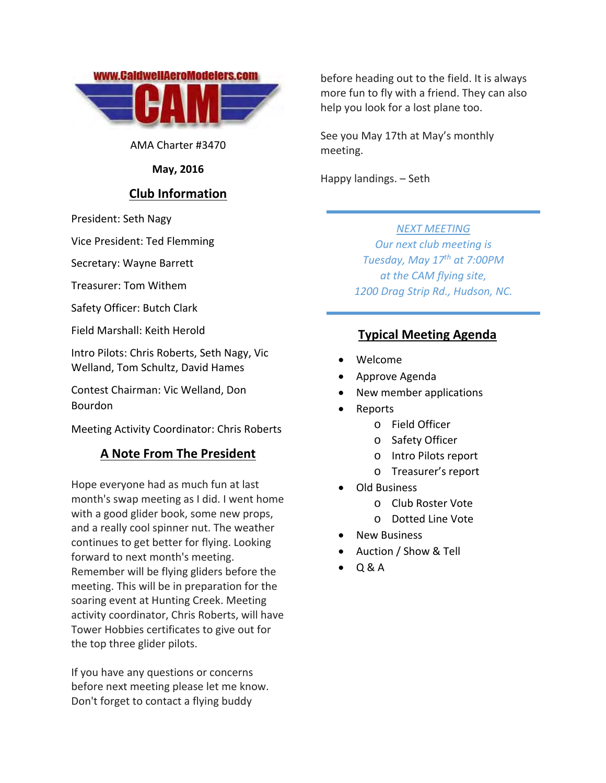

AMA Charter #3470

**May, 2016**

## **Club Information**

President: Seth Nagy

Vice President: Ted Flemming

Secretary: Wayne Barrett

Treasurer: Tom Withem

Safety Officer: Butch Clark

Field Marshall: Keith Herold

Intro Pilots: Chris Roberts, Seth Nagy, Vic Welland, Tom Schultz, David Hames

Contest Chairman: Vic Welland, Don Bourdon

Meeting Activity Coordinator: Chris Roberts

#### **A Note From The President**

Hope everyone had as much fun at last month's swap meeting as I did. I went home with a good glider book, some new props, and a really cool spinner nut. The weather continues to get better for flying. Looking forward to next month's meeting. Remember will be flying gliders before the meeting. This will be in preparation for the soaring event at Hunting Creek. Meeting activity coordinator, Chris Roberts, will have Tower Hobbies certificates to give out for the top three glider pilots.

If you have any questions or concerns before next meeting please let me know. Don't forget to contact a flying buddy

before heading out to the field. It is always more fun to fly with a friend. They can also help you look for a lost plane too.

See you May 17th at May's monthly meeting.

Happy landings. – Seth

#### *NEXT MEETING*

*Our next club meeting is Tuesday, May 17th at 7:00PM at the CAM flying site, 1200 Drag Strip Rd., Hudson, NC.*

## **Typical Meeting Agenda**

- Welcome
- Approve Agenda
- New member applications
- Reports
	- o Field Officer
	- o Safety Officer
	- o Intro Pilots report
	- o Treasurer's report
- Old Business
	- o Club Roster Vote
	- o Dotted Line Vote
- New Business
- Auction / Show & Tell
- Q & A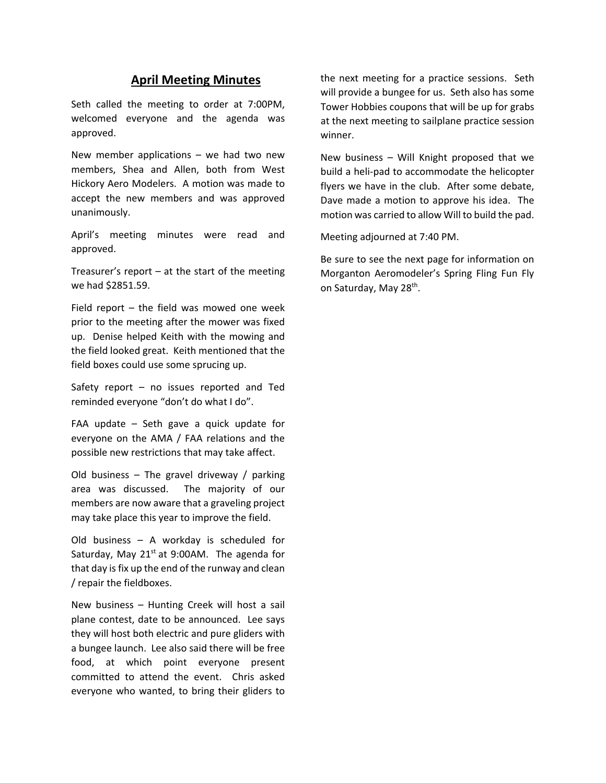#### **April Meeting Minutes**

Seth called the meeting to order at 7:00PM, welcomed everyone and the agenda was approved.

New member applications  $-$  we had two new members, Shea and Allen, both from West Hickory Aero Modelers. A motion was made to accept the new members and was approved unanimously.

April's meeting minutes were read and approved.

Treasurer's report  $-$  at the start of the meeting we had \$2851.59.

Field report – the field was mowed one week prior to the meeting after the mower was fixed up. Denise helped Keith with the mowing and the field looked great. Keith mentioned that the field boxes could use some sprucing up.

Safety report – no issues reported and Ted reminded everyone "don't do what I do".

FAA update – Seth gave a quick update for everyone on the AMA / FAA relations and the possible new restrictions that may take affect.

Old business – The gravel driveway / parking area was discussed. The majority of our members are now aware that a graveling project may take place this year to improve the field.

Old business – A workday is scheduled for Saturday, May  $21^{st}$  at 9:00AM. The agenda for that day is fix up the end of the runway and clean / repair the fieldboxes.

New business – Hunting Creek will host a sail plane contest, date to be announced. Lee says they will host both electric and pure gliders with a bungee launch. Lee also said there will be free food, at which point everyone present committed to attend the event. Chris asked everyone who wanted, to bring their gliders to the next meeting for a practice sessions. Seth will provide a bungee for us. Seth also has some Tower Hobbies coupons that will be up for grabs at the next meeting to sailplane practice session winner.

New business – Will Knight proposed that we build a heli‐pad to accommodate the helicopter flyers we have in the club. After some debate, Dave made a motion to approve his idea. The motion was carried to allow Will to build the pad.

Meeting adjourned at 7:40 PM.

Be sure to see the next page for information on Morganton Aeromodeler's Spring Fling Fun Fly on Saturday, May 28<sup>th</sup>.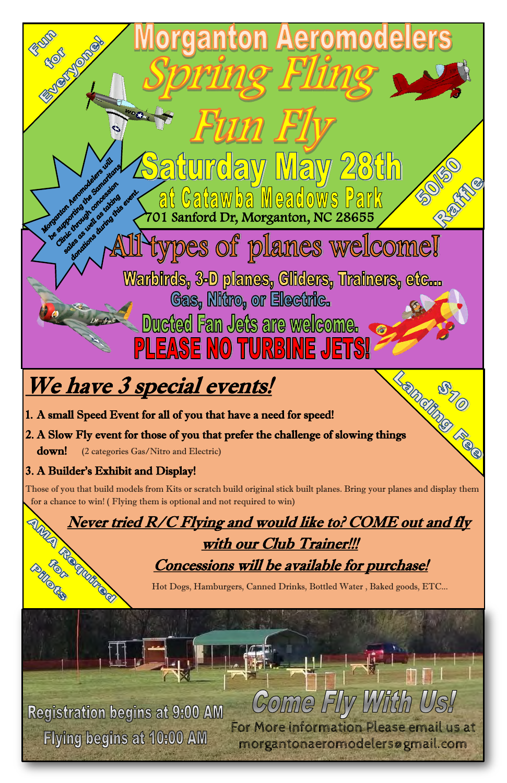

Concessions will be available for purchase!



Hot Dogs, Hamburgers, Canned Drinks, Bottled Water , Baked goods, ETC...

# Registration begins at 9:00 AM Flying begins at 10:00 AM

# Fly With C Come For More information Please email us at morgantonaeromodelersøgmail.com